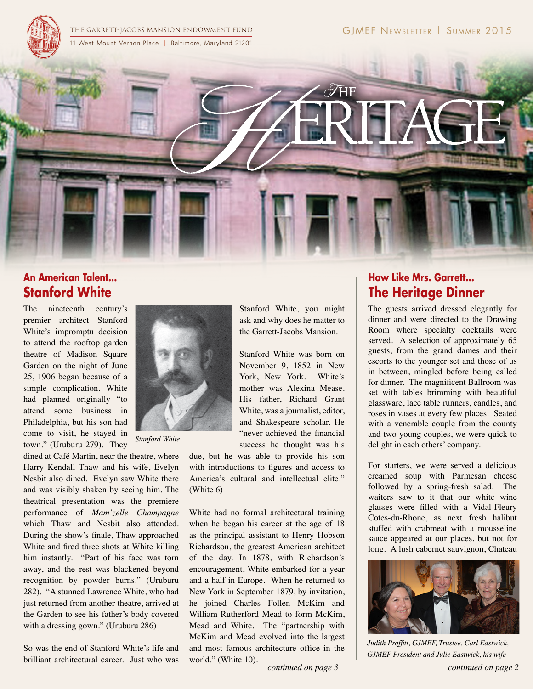

# $\partial\widetilde{\mathcal{T}}$ HE

# **An American Talent... Stanford White**

The nineteenth century's premier architect Stanford White's impromptu decision to attend the rooftop garden theatre of Madison Square Garden on the night of June 25, 1906 began because of a simple complication. White had planned originally "to attend some business in Philadelphia, but his son had come to visit, he stayed in town." (Uruburu 279). They

dined at Café Martin, near the theatre, where Harry Kendall Thaw and his wife, Evelyn Nesbit also dined. Evelyn saw White there and was visibly shaken by seeing him. The theatrical presentation was the premiere performance of *Mam'zelle Champagne* which Thaw and Nesbit also attended. During the show's finale, Thaw approached White and fired three shots at White killing him instantly. "Part of his face was torn away, and the rest was blackened beyond recognition by powder burns." (Uruburu 282). "A stunned Lawrence White, who had just returned from another theatre, arrived at the Garden to see his father's body covered with a dressing gown." (Uruburu 286)

So was the end of Stanford White's life and brilliant architectural career. Just who was



*Stanford White*

Stanford White, you might ask and why does he matter to the Garrett-Jacobs Mansion.

Stanford White was born on November 9, 1852 in New York, New York. White's mother was Alexina Mease. His father, Richard Grant White, was a journalist, editor, and Shakespeare scholar. He "never achieved the financial success he thought was his

due, but he was able to provide his son with introductions to figures and access to America's cultural and intellectual elite." (White 6)

White had no formal architectural training when he began his career at the age of 18 as the principal assistant to Henry Hobson Richardson, the greatest American architect of the day. In 1878, with Richardson's encouragement, White embarked for a year and a half in Europe. When he returned to New York in September 1879, by invitation, he joined Charles Follen McKim and William Rutherford Mead to form McKim, Mead and White. The "partnership with McKim and Mead evolved into the largest and most famous architecture office in the world." (White 10).

*continued on page 3*

# **How Like Mrs. Garrett... The Heritage Dinner**

The guests arrived dressed elegantly for dinner and were directed to the Drawing Room where specialty cocktails were served. A selection of approximately 65 guests, from the grand dames and their escorts to the younger set and those of us in between, mingled before being called for dinner. The magnificent Ballroom was set with tables brimming with beautiful glassware, lace table runners, candles, and roses in vases at every few places. Seated with a venerable couple from the county and two young couples, we were quick to delight in each others' company.

For starters, we were served a delicious creamed soup with Parmesan cheese followed by a spring-fresh salad. The waiters saw to it that our white wine glasses were filled with a Vidal-Fleury Cotes-du-Rhone, as next fresh halibut stuffed with crabmeat with a mousseline sauce appeared at our places, but not for long. A lush cabernet sauvignon, Chateau



*Judith Proffitt, GJMEF, Trustee, Carl Eastwick, GJMEF President and Julie Eastwick, his wife*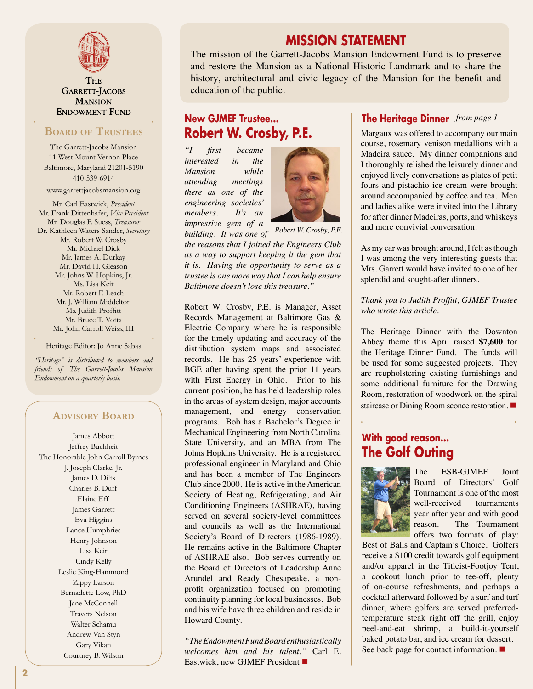

**THE GARRETT-JACOBS MANSION ENDOWMENT FUND** 

### **Board of Trustees**

The Garrett-Jacobs Mansion 11 West Mount Vernon Place Baltimore, Maryland 21201-5190 410-539-6914

www.garrettjacobsmansion.org

Mr. Carl Eastwick, *President* Mr. Frank Dittenhafer, *Vice President* Mr. Douglas F. Suess, *Treasurer* Dr. Kathleen Waters Sander, *Secretary* Mr. Robert W. Crosby Mr. Michael Dick Mr. James A. Durkay Mr. David H. Gleason Mr. Johns W. Hopkins, Jr. Ms. Lisa Keir Mr. Robert F. Leach Mr. J. William Middelton Ms. Judith Proffitt Mr. Bruce T. Votta Mr. John Carroll Weiss, III

Heritage Editor: Jo Anne Sabas

*"Heritage" is distributed to members and friends of The Garrett-Jacobs Mansion Endowment on a quarterly basis.*

### **Advisory Board**

James Abbott Jeffrey Buchheit The Honorable John Carroll Byrnes J. Joseph Clarke, Jr. James D. Dilts Charles B. Duff Elaine Eff James Garrett Eva Higgins Lance Humphries Henry Johnson Lisa Keir Cindy Kelly Leslie King-Hammond Zippy Larson Bernadette Low, PhD Jane McConnell Travers Nelson Walter Schamu Andrew Van Styn Gary Vikan Courtney B. Wilson

# **MISSION STATEMENT**

The mission of the Garrett-Jacobs Mansion Endowment Fund is to preserve and restore the Mansion as a National Historic Landmark and to share the history, architectural and civic legacy of the Mansion for the benefit and education of the public.

# **New GJMEF Trustee... Robert W. Crosby, P.E.**

*"I first became interested in the Mansion while attending meetings there as one of the engineering societies' members. It's an impressive gem of a* 



*building. It was one of Robert W. Crosby, P.E.*

*the reasons that I joined the Engineers Club as a way to support keeping it the gem that it is. Having the opportunity to serve as a trustee is one more way that I can help ensure Baltimore doesn't lose this treasure."*

Robert W. Crosby, P.E. is Manager, Asset Records Management at Baltimore Gas & Electric Company where he is responsible for the timely updating and accuracy of the distribution system maps and associated records. He has 25 years' experience with BGE after having spent the prior 11 years with First Energy in Ohio. Prior to his current position, he has held leadership roles in the areas of system design, major accounts management, and energy conservation programs. Bob has a Bachelor's Degree in Mechanical Engineering from North Carolina State University, and an MBA from The Johns Hopkins University. He is a registered professional engineer in Maryland and Ohio and has been a member of The Engineers Club since 2000. He is active in the American Society of Heating, Refrigerating, and Air Conditioning Engineers (ASHRAE), having served on several society-level committees and councils as well as the International Society's Board of Directors (1986-1989). He remains active in the Baltimore Chapter of ASHRAE also. Bob serves currently on the Board of Directors of Leadership Anne Arundel and Ready Chesapeake, a nonprofit organization focused on promoting continuity planning for local businesses. Bob and his wife have three children and reside in Howard County.

*"The Endowment Fund Board enthusiastically welcomes him and his talent."* Carl E. Eastwick, new GJMEF President

## **The Heritage Dinner** *from page 1*

Margaux was offered to accompany our main course, rosemary venison medallions with a Madeira sauce. My dinner companions and I thoroughly relished the leisurely dinner and enjoyed lively conversations as plates of petit fours and pistachio ice cream were brought around accompanied by coffee and tea. Men and ladies alike were invited into the Library for after dinner Madeiras, ports, and whiskeys and more convivial conversation.

As my car was brought around, I felt as though I was among the very interesting guests that Mrs. Garrett would have invited to one of her splendid and sought-after dinners.

*Thank you to Judith Proffitt, GJMEF Trustee who wrote this article.*

The Heritage Dinner with the Downton Abbey theme this April raised **\$7,600** for the Heritage Dinner Fund. The funds will be used for some suggested projects. They are reupholstering existing furnishings and some additional furniture for the Drawing Room, restoration of woodwork on the spiral staircase or Dining Room sconce restoration.

# **With good reason... The Golf Outing**



The ESB-GJMEF Joint Board of Directors' Golf Tournament is one of the most well-received tournaments year after year and with good reason. The Tournament offers two formats of play:

Best of Balls and Captain's Choice. Golfers receive a \$100 credit towards golf equipment and/or apparel in the Titleist-Footjoy Tent, a cookout lunch prior to tee-off, plenty of on-course refreshments, and perhaps a cocktail afterward followed by a surf and turf dinner, where golfers are served preferredtemperature steak right off the grill, enjoy peel-and-eat shrimp, a build-it-yourself baked potato bar, and ice cream for dessert. See back page for contact information.  $\blacksquare$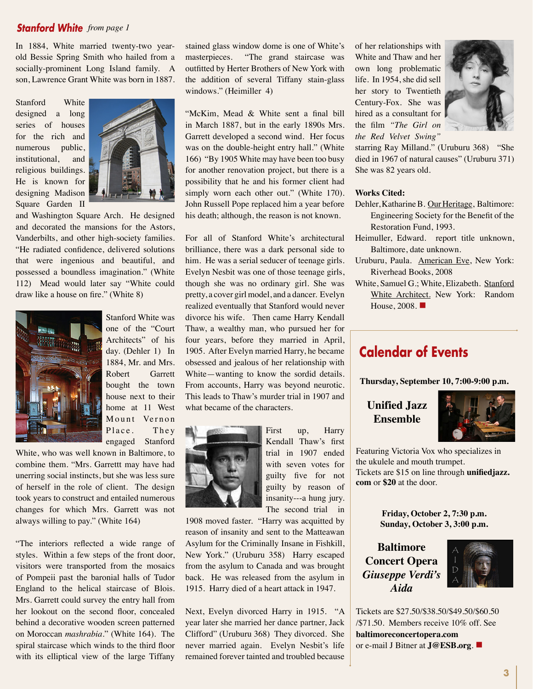### *Stanford White from page 1*

In 1884, White married twenty-two yearold Bessie Spring Smith who hailed from a socially-prominent Long Island family. A son, Lawrence Grant White was born in 1887.

Stanford White designed a long series of houses for the rich and numerous public, institutional, and religious buildings. He is known for designing Madison Square Garden II



and Washington Square Arch. He designed and decorated the mansions for the Astors, Vanderbilts, and other high-society families. "He radiated confidence, delivered solutions that were ingenious and beautiful, and possessed a boundless imagination." (White 112) Mead would later say "White could draw like a house on fire." (White 8)



Stanford White was one of the "Court Architects" of his day. (Dehler 1) In 1884, Mr. and Mrs. Robert Garrett bought the town house next to their home at 11 West Mount Vernon Place. They engaged Stanford

White, who was well known in Baltimore, to combine them. "Mrs. Garrettt may have had unerring social instincts, but she was less sure of herself in the role of client. The design took years to construct and entailed numerous changes for which Mrs. Garrett was not always willing to pay." (White 164)

"The interiors reflected a wide range of styles. Within a few steps of the front door, visitors were transported from the mosaics of Pompeii past the baronial halls of Tudor England to the helical staircase of Blois. Mrs. Garrett could survey the entry hall from her lookout on the second floor, concealed behind a decorative wooden screen patterned on Moroccan *mashrabia*." (White 164). The spiral staircase which winds to the third floor with its elliptical view of the large Tiffany

stained glass window dome is one of White's masterpieces. "The grand staircase was outfitted by Herter Brothers of New York with the addition of several Tiffany stain-glass windows." (Heimiller 4)

"McKim, Mead & White sent a final bill in March 1887, but in the early 1890s Mrs. Garrett developed a second wind. Her focus was on the double-height entry hall." (White 166) "By 1905 White may have been too busy for another renovation project, but there is a possibility that he and his former client had simply worn each other out." (White 170). John Russell Pope replaced him a year before his death; although, the reason is not known.

For all of Stanford White's architectural brilliance, there was a dark personal side to him. He was a serial seducer of teenage girls. Evelyn Nesbit was one of those teenage girls, though she was no ordinary girl. She was pretty, a cover girl model, and a dancer. Evelyn realized eventually that Stanford would never divorce his wife. Then came Harry Kendall Thaw, a wealthy man, who pursued her for four years, before they married in April, 1905. After Evelyn married Harry, he became obsessed and jealous of her relationship with White—wanting to know the sordid details. From accounts, Harry was beyond neurotic. This leads to Thaw's murder trial in 1907 and what became of the characters.



First up, Harry Kendall Thaw's first trial in 1907 ended with seven votes for guilty five for not guilty by reason of insanity---a hung jury. The second trial in

1908 moved faster. "Harry was acquitted by reason of insanity and sent to the Matteawan Asylum for the Criminally Insane in Fishkill, New York." (Uruburu 358) Harry escaped from the asylum to Canada and was brought back. He was released from the asylum in 1915. Harry died of a heart attack in 1947.

Next, Evelyn divorced Harry in 1915. "A year later she married her dance partner, Jack Clifford" (Uruburu 368) They divorced. She never married again. Evelyn Nesbit's life remained forever tainted and troubled because

of her relationships with White and Thaw and her own long problematic life. In 1954, she did sell her story to Twentieth Century-Fox. She was hired as a consultant for the film *"The Girl on the Red Velvet Swing"*



starring Ray Milland." (Uruburu 368) "She died in 1967 of natural causes" (Uruburu 371) She was 82 years old.

### **Works Cited:**

- Dehler, Katharine B. Our Heritage, Baltimore: Engineering Society for the Benefit of the Restoration Fund, 1993.
- Heimuller, Edward. report title unknown, Baltimore, date unknown.
- Uruburu, Paula. American Eve, New York: Riverhead Books, 2008
- White, Samuel G.; White, Elizabeth. Stanford White Architect. New York: Random House,  $2008.$

# **Calendar of Events**

**Thursday, September 10, 7:00-9:00 p.m.**

# **Unified Jazz Ensemble**



Featuring Victoria Vox who specializes in the ukulele and mouth trumpet. Tickets are \$15 on line through **unifiedjazz. com** or **\$20** at the door.

> **Friday, October 2, 7:30 p.m. Sunday, October 3, 3:00 p.m.**

**Baltimore Concert Opera**  *Giuseppe Verdi's Aida*



Tickets are \$27.50/\$38.50/\$49.50/\$60.50 /\$71.50. Members receive 10% off. See **baltimoreconcertopera.com** or e-mail J Bitner at **J**@ESB.org. ■